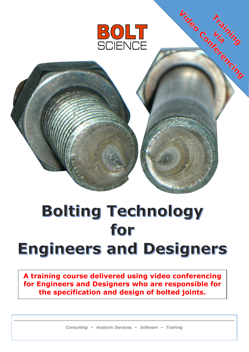

Under Containing

# Bolting Technology for Engineers and Designers

**A training course delivered using video conferencing for Engineers and Designers who are responsible for the specification and design of bolted joints.** 

*Consulting • Analysis Services • Software • Training*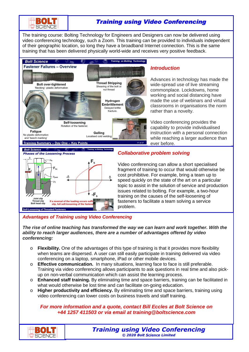

# Training using Video Conferencing

The training course: Bolting Technology for Engineers and Designers can now be delivered using video conferencing technology, such a Zoom. This training can be provided to individuals independent of their geographic location, so long they have a broadband Internet connection. This is the same training that has been delivered physically world-wide and receives very positive feedback.



## *Introduction*

Advances in technology has made the wide-spread use of live streaming commonplace. Lockdowns, home working and social distancing have made the use of webinars and virtual classrooms in organisations the norm rather than a novelty.

Video conferencing provides the capability to provide individualised instruction with a personal connection while reaching a larger audience than ever before.



## *Collaborative problem solving*

Video conferencing can allow a short specialised fragment of training to occur that would otherwise be cost prohibitive. For example, bring a team up to speed quickly on the state of the art on a particular topic to assist in the solution of service and production issues related to bolting. For example, a two-hour training on the causes of the self-loosening of fasteners to facilitate a team solving a service problem.

## *Advantages of Training using Video Conferencing*

*The rise of online teaching has transformed the way we can learn and work together. With the ability to reach larger audiences, there are a number of advantages offered by video conferencing:* 

- o **Flexibility.** One of the advantages of this type of training is that it provides more flexibility when teams are dispersed. A user can still easily participate in training delivered via video conferencing on a laptop, smartphone, iPad or other mobile devices.
- o **Effective communication.** In many situations, learning face to face is still preferable. Training via video conferencing allows participants to ask questions in real time and also pickup on non-verbal communication which can assist the learning process.
- o **Enhanced staff training.** By eliminating time and space barriers, training can be facilitated in what would otherwise be lost time and can facilitate on-going education.
- o **Higher productivity and efficiency.** By eliminating time and space barriers, training using video conferencing can lower costs on business travels and staff training.

*For more information and a quote, contact Bill Eccles at Bolt Science on +44 1257 411503 or via email at training@boltscience.com* 

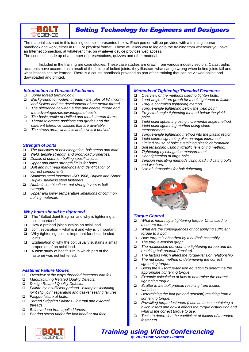

# Bolting Technology for Engineers and Designers

The material covered in this training course is presented below. Each person will be provided with a training course handbook and work, either in PDF or physical format. These will allow you to log onto the training from wherever you have an Internet connection, at whatever time, on whatever device provides web access. The course is made up of a number of presentations, quizzes and other material.

Included in the training are case studies. These case studies are drawn from various industry sectors. Catastrophic accidents have occurred as a result of the failure of bolted joints, they illustrate what can go wrong when bolted joints fail and what lessons can be learned. There is a course handbook provided as part of the training that can be viewed online and downloaded and printed.

#### *Introduction to Threaded Fasteners*

- *Some thread terminology.*
- *Background to modern threads the roles of Whitworth and Sellers and the development of the metric thread.*
- *The difference between a fine and coarse thread and the advantages/disadvantages of each.*
- *The basic profile of Unified and metric thread forms. Thread tolerance positions and grades and the*
- *different tolerance classes that are available.*
- *The stress area, what it is and how is it derived.*

#### *Strength of bolts*

- *The principles of bolt elongation, bolt stress and load.*
- *Yield, tensile strength and proof load properties.*
- *Details of common bolting specifications.*
- *Upper and lower strength limits for bolts.*
- *Bolt and nut head markings and identification of correct components.*
- *Stainless steel fasteners ISO 3506, Duplex and Super Duplex stainless steel fasteners*
- *Nut/bolt combinations, nut strength versus bolt strength.*
- *Upper and lower temperature limitations of common bolting materials.*

#### *Why bolts should be tightened*

- □ The "Bolted Joint Enigma" and why is tightening a bolt important?
- $\Box$  How a preload joint sustains an axial load.
- $\Box$  Joint separation what is it and why is it important.
- $\square$  Why tightening bolts is important for shear loaded joints.
- $\square$  Explanation of why the bolt usually sustains a small proportion of an axial load.
- $\Box$  A case study of bolt failure in which part of the fastener was not tightened.

#### *Fastener Failure Modes*

- *Overview of the ways threaded fasteners can fail.*
- *Manufacturing Related Quality Defects.*
- *Design Related Quality Defects.*
- *Failure by insufficient preload examples including joint slip, joint separation and gasket sealing failures. Fatigue failure of bolts.*
- *Thread Stripping Failures internal and external threads.*
- *Bolt overload from applied forces.*

EKO JETI **SCIENCE** 

*Bearing stress under the bolt head or nut face.* 

# *Methods of Tightening Threaded Fasteners*

- *Overview of the methods used to tighten bolts.*
- *Load-angle of turn graph for a bolt tightened to failure.*
- 
- *Torque controlled tightening method. Torque-angle tightening below the yield point.*
- *Projected angle tightening method below the yield point.*
- *Yield point tightening using incremental angle method.*
- *Yield point tightening method using slope measurement.*
- *Torque-angle tightening method into the plastic region.*
- *Yield control tightening plus an angle increment.*
- *Limited re-use of bolts sustaining plastic deformation.*
- *Bolt tensioning using hydraulic tensioning method.*
- *Tightening by elongation measurement.*
- *Heat tightening of large bolts*
- *Tension indicating methods using load indicating bolts and washers.*
- *Use of ultrasonic's for bolt tightening.*



#### *Torque Control*

- *What is meant by a tightening torque. Units used to measure torque.*
- *What are the consequences of not applying sufficient torque to a bolt.*
- *How torque is absorbed by a nut/bolt assembly.*
- *The torque-tension graph.*
- *The relationship between the tightening torque and the resulting bolt preload (tension).*
- *The factors which affect the torque-tension relationship.*
- *The nut factor method of determining the correct tightening torque.*
- *Using the full torque-tension equation to determine the appropriate tightening torque.*
- *Example calculation of how to determine the correct tightening torque.*
- *Scatter in the bolt preload resulting from friction variations.*
- *Determining the bolt preload (tension) resulting from a tightening torque.*
- *Prevailing torque fasteners (such as those containing a nylon insert) and how it affects the torque distribution and what is the correct torque to use.*
- *Tests to determine the coefficient of friction of threaded fasteners.*
- *Training using Video Conferencing © 2020 Bolt Science Limited*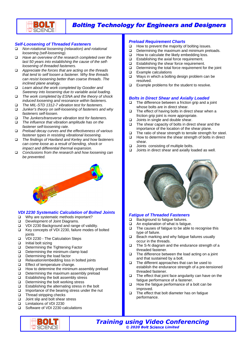

## Bolting Technology for Engineers and Designers

#### *Self-Loosening of Threaded Fasteners*

- *Non-rotational loosening (relaxation) and rotational loosening (self-loosening).*
- *Have an overview of the research completed over the last 50 years into establishing the cause of the selfloosening of threaded fasteners.*
- *Appreciate the forces that are acting on the threads that tend to self loosen a fastener. Why fine threads can resist loosening better than coarse threads. The inclined plane analogy.*
- *Learn about the work completed by Goodier and Sweeney into loosening due to variable axial loading.*
- *The work completed by ESNA and the theory of shock induced loosening and resonance within fasteners.*
- *The MIL-STD 1312-7 vibration test for fasteners.*
- *Junker's theory on self-loosening of fasteners and why fasteners self-loosen.*
- *The Junkers/transverse vibration test for fasteners.*
- *The influence that vibration amplitude has on the fastener self-loosening rate.*
- *Preload decay curves and the effectiveness of various fastener types in resisting vibrational loosening.*
- *The findings of Haviland and Kerley and how fasteners can come loose as a result of bending, shock or impact and differential thermal expansion.*
- *Conclusions from the research and how loosening can be prevented.*

## *VDI 2230 Systematic Calculation of Bolted Joints*

- $\Box$  Why are systematic methods important? Development of Joint Diagrams.
- VDI 2230 Background and range of validity.
- □ Key concepts of VDI 2230, failure modes of bolted joints
- VDI 2230 The Calculation Steps
- $\Box$  Initial bolt sizing
- Determining the Tightening Factor
- Determining the minimum clamp load
- Determining the load factor
- $\Box$  Relaxation/embedding loss in bolted joints
- Effect of temperature change.
- $\Box$  How to determine the minimum assembly preload
- $\Box$  Determining the maximum assembly preload
- $\Box$  Establishing the bolt assembly stress  $\Box$  Determining the bolt working stress
- Determining the bolt working stress
- $\Box$  Establishing the alternating stress in the bolt
- $\Box$  Importance of the bearing stress under the nut
- □ Thread stripping checks
- □ Joint slip and bolt shear stress
- Limitations of VDI 2230
- □ Software of VDI 2230 calculations



#### *Preload Requirement Charts*

- $\Box$  How to prevent the majority of bolting issues.
- $\Box$  Determining the maximum and minimum preloads.
- $\Box$  How to calculate the likely embedding loss.
- □ Establishing the axial force requirement.
- $\Box$  Establishing the shear force requirement.
- $\Box$  Determining the total force requirement for the joint
- □ Example calculations
- $\Box$  Ways in which a bolting design problem can be resolved.
- $\Box$  Example problems for the student to resolve.

#### *Bolts in Direct Shear and Axially Loaded*

- □ The difference between a friction grip and a joint whose bolts are in direct shear.
- $\Box$  The effect of having bolts in direct shear when a friction grip joint is more appropriate.
- $\Box$  Joints in single and double shear.
- $\Box$  The shear capacity of bolts in direct shear and the importance of the location of the shear plane.
- $\Box$  The ratio of shear strength to tensile strength for steel.
- $\Box$  How to determine the shear strength of bolts in direct shear.
- □ Joints consisting of multiple bolts.
- $\Box$  Joints in direct shear and axially loaded as well.



#### *Fatigue of Threaded Fasteners*

- □ Background to fatigue failures.
- $\Box$  An explanation of what is fatigue.
- $\Box$  The causes of fatigue to be able to recognise this type of failure.
- $\Box$  Beach marking and why fatigue failures usually occur in the threads.
- □ The S-N diagram and the endurance strength of a threaded fastener.
- $\Box$  The difference between the load acting on a joint and that sustained by a bolt.
- $\Box$  The different approaches that can be used to establish the endurance strength of a pre-tensioned threaded fastener.
- $\Box$  The effect that joint face angularity can have on the fatigue performance of a fastener.
- $\Box$  How the fatigue performance of a bolt can be improved.
- $\Box$  The effect that bolt diameter has on fatigue performance.
- *Training using Video Conferencing © 2020 Bolt Science Limited*